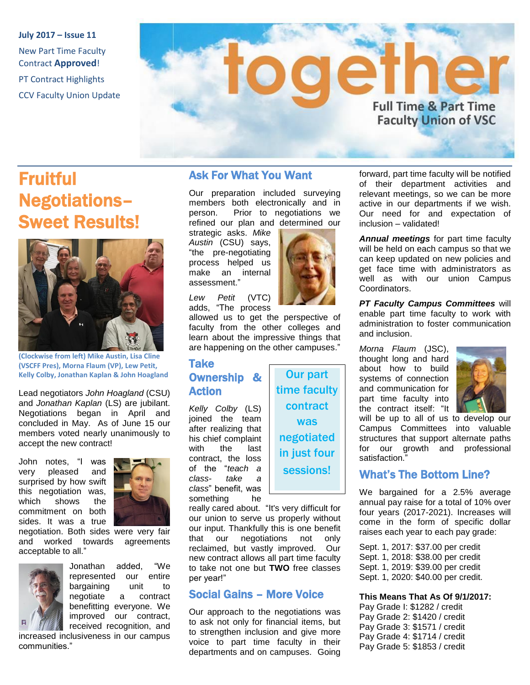**July 2017 – Issue 11** New Part Time Faculty Contract **Approved**! PT Contract Highlights CCV Faculty Union Update

# ethe **Full Time & Part Time Faculty Union of VSC**

# Fruitful Negotiations– Sweet Results!



**(Clockwise from left) Mike Austin, Lisa Cline (VSCFF Pres), Morna Flaum (VP), Lew Petit, Kelly Colby, Jonathan Kaplan & John Hoagland**

Lead negotiators *John Hoagland* (CSU) and *Jonathan Kaplan* (LS) are jubilant. Negotiations began in April and concluded in May. As of June 15 our members voted nearly unanimously to accept the new contract!

John notes, "I was very pleased and surprised by how swift this negotiation was, which shows the commitment on both sides. It was a true



negotiation. Both sides were very fair and worked towards agreements acceptable to all."



Jonathan added, "We represented our entire bargaining unit to negotiate a contract benefitting everyone. We improved our contract, received recognition, and

increased inclusiveness in our campus communities."

### Ask For What You Want

Our preparation included surveying members both electronically and in person. Prior to negotiations we refined our plan and determined our

strategic asks. *Mike Austin* (CSU) says, "the pre-negotiating process helped us make an internal assessment."

*Lew Petit* (VTC) adds, "The process

allowed us to get the perspective of faculty from the other colleges and learn about the impressive things that are happening on the other campuses."

#### Take Ownership & Action

*Kelly Colby* (LS) joined the team after realizing that his chief complaint with the last contract, the loss of the "*teach a class- take a class*" benefit, was something he



Our part time faculty contract was negotiated in just four sessions!

really cared about. "It's very difficult for our union to serve us properly without our input. Thankfully this is one benefit that our negotiations not only reclaimed, but vastly improved. Our new contract allows all part time faculty to take not one but **TWO** free classes per year!"

### Social Gains – More Voice

Our approach to the negotiations was to ask not only for financial items, but to strengthen inclusion and give more voice to part time faculty in their departments and on campuses. Going

forward, part time faculty will be notified of their department activities and relevant meetings, so we can be more active in our departments if we wish. Our need for and expectation of inclusion – validated!

*Annual meetings* for part time faculty will be held on each campus so that we can keep updated on new policies and get face time with administrators as well as with our union Campus Coordinators.

*PT Faculty Campus Committees* will enable part time faculty to work with administration to foster communication and inclusion.

*Morna Flaum* (JSC), thought long and hard about how to build systems of connection and communication for part time faculty into the contract itself: "It



will be up to all of us to develop our Campus Committees into valuable structures that support alternate paths for our growth and professional satisfaction.'

## What's The Bottom Line?

We bargained for a 2.5% average annual pay raise for a total of 10% over four years (2017-2021). Increases will come in the form of specific dollar raises each year to each pay grade:

Sept. 1, 2017: \$37.00 per credit Sept. 1, 2018: \$38.00 per credit Sept. 1, 2019: \$39.00 per credit Sept. 1, 2020: \$40.00 per credit.

#### **This Means That As Of 9/1/2017:**

Pay Grade I: \$1282 / credit Pay Grade 2: \$1420 / credit Pay Grade 3: \$1571 / credit Pay Grade 4: \$1714 / credit Pay Grade 5: \$1853 / credit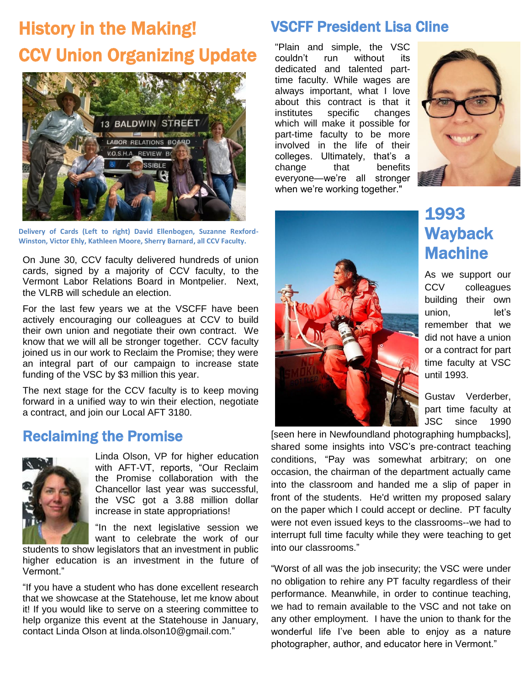# History in the Making! CCV Union Organizing Update



**Delivery of Cards (Left to right) David Ellenbogen, Suzanne Rexford-Winston, Victor Ehly, Kathleen Moore, Sherry Barnard, all CCV Faculty.**

On June 30, CCV faculty delivered hundreds of union cards, signed by a majority of CCV faculty, to the Vermont Labor Relations Board in Montpelier. Next, the VLRB will schedule an election.

For the last few years we at the VSCFF have been actively encouraging our colleagues at CCV to build their own union and negotiate their own contract. We know that we will all be stronger together. CCV faculty joined us in our work to Reclaim the Promise; they were an integral part of our campaign to increase state funding of the VSC by \$3 million this year.

The next stage for the CCV faculty is to keep moving forward in a unified way to win their election, negotiate a contract, and join our Local AFT 3180.

## Reclaiming the Promise



Linda Olson, VP for higher education with AFT-VT, reports, "Our Reclaim the Promise collaboration with the Chancellor last year was successful, the VSC got a 3.88 million dollar increase in state appropriations!

"In the next legislative session we want to celebrate the work of our

students to show legislators that an investment in public higher education is an investment in the future of Vermont."

"If you have a student who has done excellent research that we showcase at the Statehouse, let me know about it! If you would like to serve on a steering committee to help organize this event at the Statehouse in January, contact Linda Olson at linda.olson10@gmail.com."

## VSCFF President Lisa Cline

"Plain and simple, the VSC couldn't run without its dedicated and talented parttime faculty. While wages are always important, what I love about this contract is that it institutes specific changes which will make it possible for part-time faculty to be more involved in the life of their colleges. Ultimately, that's a change that benefits everyone—we're all stronger when we're working together."





## 1993 **Wayback** Machine

As we support our CCV colleagues building their own union, let's remember that we did not have a union or a contract for part time faculty at VSC until 1993.

Gustav Verderber, part time faculty at JSC since 1990

[seen here in Newfoundland photographing humpbacks], shared some insights into VSC's pre-contract teaching conditions, "Pay was somewhat arbitrary; on one occasion, the chairman of the department actually came into the classroom and handed me a slip of paper in front of the students. He'd written my proposed salary on the paper which I could accept or decline. PT faculty were not even issued keys to the classrooms--we had to interrupt full time faculty while they were teaching to get into our classrooms."

"Worst of all was the job insecurity; the VSC were under no obligation to rehire any PT faculty regardless of their performance. Meanwhile, in order to continue teaching, we had to remain available to the VSC and not take on any other employment. I have the union to thank for the wonderful life I've been able to enjoy as a nature photographer, author, and educator here in Vermont."